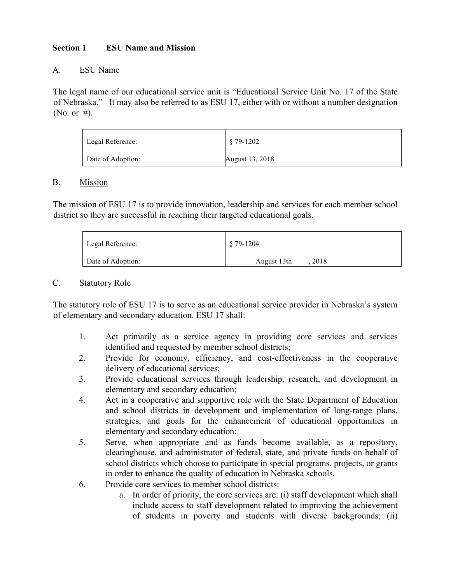### **Section 1 ESU Name and Mission**

#### A. ESU Name

The legal name of our educational service unit is "Educational Service Unit No. 17 of the State of Nebraska." It may also be referred to as ESU 17, either with or without a number designation (No. or #).

| Legal Reference:  | $$79-1202$      |
|-------------------|-----------------|
| Date of Adoption: | August 13, 2018 |

#### B. Mission

The mission of ESU 17 is to provide innovation, leadership and services for each member school district so they are successful in reaching their targeted educational goals.

| Legal Reference:  | \$79-1204           |
|-------------------|---------------------|
| Date of Adoption: | 2018<br>August 13th |

#### C. Statutory Role

The statutory role of ESU 17 is to serve as an educational service provider in Nebraska's system of elementary and secondary education. ESU 17 shall:

- 1. Act primarily as a service agency in providing core services and services identified and requested by member school districts;
- 2. Provide for economy, efficiency, and cost-effectiveness in the cooperative delivery of educational services;
- 3. Provide educational services through leadership, research, and development in elementary and secondary education;
- 4. Act in a cooperative and supportive role with the State Department of Education and school districts in development and implementation of long-range plans, strategies, and goals for the enhancement of educational opportunities in elementary and secondary education;
- 5. Serve, when appropriate and as funds become available, as a repository, clearinghouse, and administrator of federal, state, and private funds on behalf of school districts which choose to participate in special programs, projects, or grants in order to enhance the quality of education in Nebraska schools.
- 6. Provide core services to member school districts:
	- a. In order of priority, the core services are: (i) staff development which shall include access to staff development related to improving the achievement of students in poverty and students with diverse backgrounds; (ii)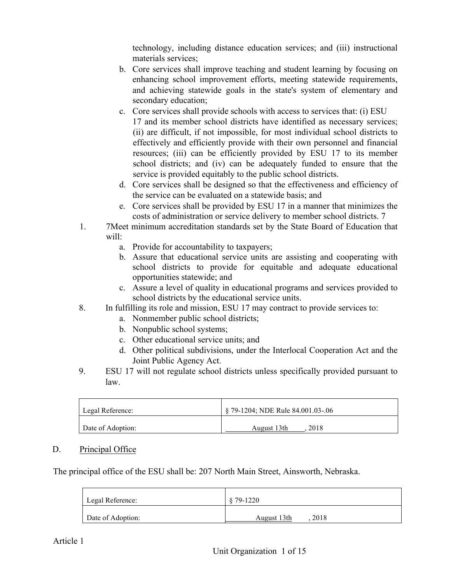technology, including distance education services; and (iii) instructional materials services;

- b. Core services shall improve teaching and student learning by focusing on enhancing school improvement efforts, meeting statewide requirements, and achieving statewide goals in the state's system of elementary and secondary education;
- c. Core services shall provide schools with access to services that: (i) ESU 17 and its member school districts have identified as necessary services; (ii) are difficult, if not impossible, for most individual school districts to effectively and efficiently provide with their own personnel and financial resources; (iii) can be efficiently provided by ESU 17 to its member school districts; and (iv) can be adequately funded to ensure that the service is provided equitably to the public school districts.
- d. Core services shall be designed so that the effectiveness and efficiency of the service can be evaluated on a statewide basis; and
- e. Core services shall be provided by ESU 17 in a manner that minimizes the costs of administration or service delivery to member school districts. 7
- 1. 7Meet minimum accreditation standards set by the State Board of Education that will:
	- a. Provide for accountability to taxpayers;
	- b. Assure that educational service units are assisting and cooperating with school districts to provide for equitable and adequate educational opportunities statewide; and
	- c. Assure a level of quality in educational programs and services provided to school districts by the educational service units.
- 8. In fulfilling its role and mission, ESU 17 may contract to provide services to:
	- a. Nonmember public school districts;
	- b. Nonpublic school systems;
	- c. Other educational service units; and
	- d. Other political subdivisions, under the Interlocal Cooperation Act and the Joint Public Agency Act.
- 9. ESU 17 will not regulate school districts unless specifically provided pursuant to law.

| Legal Reference:  | $\frac{1}{2}$ \$ 79-1204; NDE Rule 84.001.03-.06 |
|-------------------|--------------------------------------------------|
| Date of Adoption: | 2018<br>August 13th                              |

# D. Principal Office

The principal office of the ESU shall be: 207 North Main Street, Ainsworth, Nebraska.

| Legal Reference:  | \$79-1220           |
|-------------------|---------------------|
| Date of Adoption: | 2018<br>August 13th |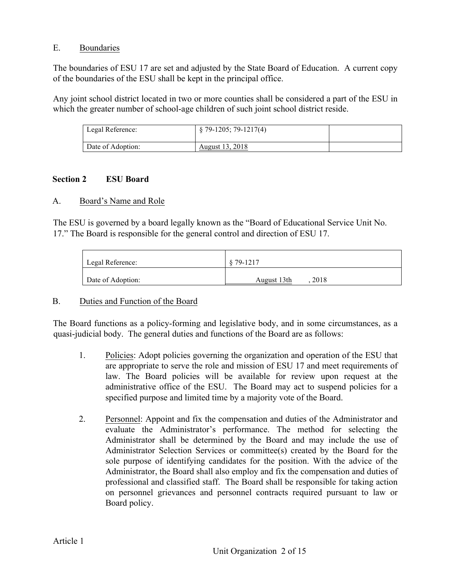### E. Boundaries

The boundaries of ESU 17 are set and adjusted by the State Board of Education. A current copy of the boundaries of the ESU shall be kept in the principal office.

Any joint school district located in two or more counties shall be considered a part of the ESU in which the greater number of school-age children of such joint school district reside.

| Legal Reference:  | $\S$ 79-1205; 79-1217(4) |  |
|-------------------|--------------------------|--|
| Date of Adoption: | August 13, 2018          |  |

### **Section 2 ESU Board**

### A. Board's Name and Role

The ESU is governed by a board legally known as the "Board of Educational Service Unit No. 17." The Board is responsible for the general control and direction of ESU 17.

| Legal Reference:  | 8 79 1217           |
|-------------------|---------------------|
| Date of Adoption: | 2018<br>August 13th |

# B. Duties and Function of the Board

The Board functions as a policy-forming and legislative body, and in some circumstances, as a quasi-judicial body. The general duties and functions of the Board are as follows:

- 1. Policies: Adopt policies governing the organization and operation of the ESU that are appropriate to serve the role and mission of ESU 17 and meet requirements of law. The Board policies will be available for review upon request at the administrative office of the ESU. The Board may act to suspend policies for a specified purpose and limited time by a majority vote of the Board.
- 2. Personnel: Appoint and fix the compensation and duties of the Administrator and evaluate the Administrator's performance. The method for selecting the Administrator shall be determined by the Board and may include the use of Administrator Selection Services or committee(s) created by the Board for the sole purpose of identifying candidates for the position. With the advice of the Administrator, the Board shall also employ and fix the compensation and duties of professional and classified staff. The Board shall be responsible for taking action on personnel grievances and personnel contracts required pursuant to law or Board policy.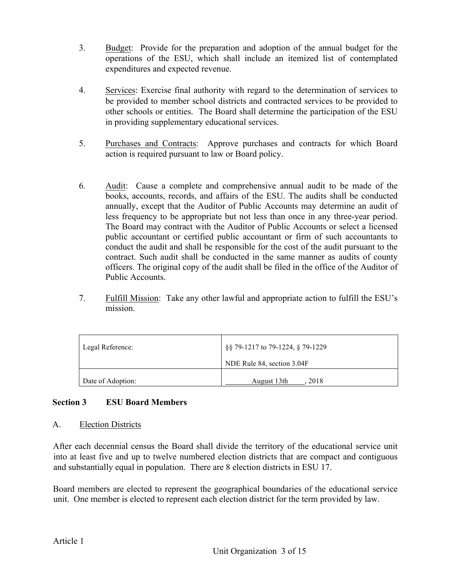- 3. Budget: Provide for the preparation and adoption of the annual budget for the operations of the ESU, which shall include an itemized list of contemplated expenditures and expected revenue.
- 4. Services: Exercise final authority with regard to the determination of services to be provided to member school districts and contracted services to be provided to other schools or entities. The Board shall determine the participation of the ESU in providing supplementary educational services.
- 5. Purchases and Contracts: Approve purchases and contracts for which Board action is required pursuant to law or Board policy.
- 6. Audit: Cause a complete and comprehensive annual audit to be made of the books, accounts, records, and affairs of the ESU. The audits shall be conducted annually, except that the Auditor of Public Accounts may determine an audit of less frequency to be appropriate but not less than once in any three-year period. The Board may contract with the Auditor of Public Accounts or select a licensed public accountant or certified public accountant or firm of such accountants to conduct the audit and shall be responsible for the cost of the audit pursuant to the contract. Such audit shall be conducted in the same manner as audits of county officers. The original copy of the audit shall be filed in the office of the Auditor of Public Accounts.
- 7. Fulfill Mission: Take any other lawful and appropriate action to fulfill the ESU's mission.

| Legal Reference:  | §§ 79-1217 to 79-1224, § 79-1229 |
|-------------------|----------------------------------|
|                   | NDE Rule 84, section 3.04F       |
| Date of Adoption: | August 13th<br>2018              |

# **Section 3 ESU Board Members**

#### A. Election Districts

After each decennial census the Board shall divide the territory of the educational service unit into at least five and up to twelve numbered election districts that are compact and contiguous and substantially equal in population. There are 8 election districts in ESU 17.

Board members are elected to represent the geographical boundaries of the educational service unit. One member is elected to represent each election district for the term provided by law.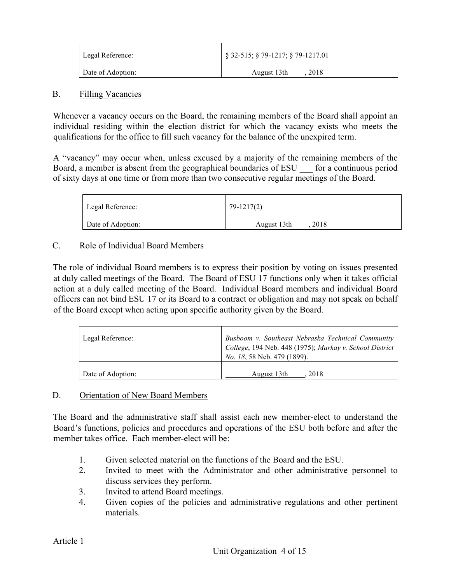| Legal Reference:  | $\S$ 32-515; $\S$ 79-1217; $\S$ 79-1217.01 |
|-------------------|--------------------------------------------|
| Date of Adoption: | 2018<br>August 13th                        |

#### B. Filling Vacancies

Whenever a vacancy occurs on the Board, the remaining members of the Board shall appoint an individual residing within the election district for which the vacancy exists who meets the qualifications for the office to fill such vacancy for the balance of the unexpired term.

A "vacancy" may occur when, unless excused by a majority of the remaining members of the Board, a member is absent from the geographical boundaries of ESU — for a continuous period of sixty days at one time or from more than two consecutive regular meetings of the Board.

| Legal Reference:  | 79-1217(2)          |
|-------------------|---------------------|
| Date of Adoption: | 2018<br>August 13th |

# C. Role of Individual Board Members

The role of individual Board members is to express their position by voting on issues presented at duly called meetings of the Board. The Board of ESU 17 functions only when it takes official action at a duly called meeting of the Board. Individual Board members and individual Board officers can not bind ESU 17 or its Board to a contract or obligation and may not speak on behalf of the Board except when acting upon specific authority given by the Board.

| Legal Reference:  | Busboom v. Southeast Nebraska Technical Community<br>College, 194 Neb. 448 (1975); Markay v. School District<br><i>No. 18, 58 Neb. 479 (1899).</i> |
|-------------------|----------------------------------------------------------------------------------------------------------------------------------------------------|
| Date of Adoption: | August 13th<br>2018                                                                                                                                |

# D. Orientation of New Board Members

The Board and the administrative staff shall assist each new member-elect to understand the Board's functions, policies and procedures and operations of the ESU both before and after the member takes office. Each member-elect will be:

- 1. Given selected material on the functions of the Board and the ESU.
- 2. Invited to meet with the Administrator and other administrative personnel to discuss services they perform.
- 3. Invited to attend Board meetings.
- 4. Given copies of the policies and administrative regulations and other pertinent materials.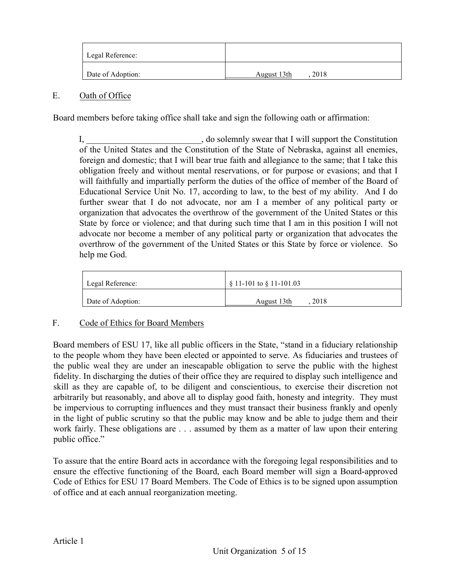| Legal Reference:  |                     |
|-------------------|---------------------|
| Date of Adoption: | August 13th<br>2018 |

### E. Oath of Office

Board members before taking office shall take and sign the following oath or affirmation:

I, do solemnly swear that I will support the Constitution of the United States and the Constitution of the State of Nebraska, against all enemies, foreign and domestic; that I will bear true faith and allegiance to the same; that I take this obligation freely and without mental reservations, or for purpose or evasions; and that I will faithfully and impartially perform the duties of the office of member of the Board of Educational Service Unit No. 17, according to law, to the best of my ability. And I do further swear that I do not advocate, nor am I a member of any political party or organization that advocates the overthrow of the government of the United States or this State by force or violence; and that during such time that I am in this position I will not advocate nor become a member of any political party or organization that advocates the overthrow of the government of the United States or this State by force or violence. So help me God.

| Legal Reference:  | $\S$ 11-101 to $\S$ 11-101.03 |
|-------------------|-------------------------------|
| Date of Adoption: | 2018<br>August 13th           |

# F. Code of Ethics for Board Members

Board members of ESU 17, like all public officers in the State, "stand in a fiduciary relationship to the people whom they have been elected or appointed to serve. As fiduciaries and trustees of the public weal they are under an inescapable obligation to serve the public with the highest fidelity. In discharging the duties of their office they are required to display such intelligence and skill as they are capable of, to be diligent and conscientious, to exercise their discretion not arbitrarily but reasonably, and above all to display good faith, honesty and integrity. They must be impervious to corrupting influences and they must transact their business frankly and openly in the light of public scrutiny so that the public may know and be able to judge them and their work fairly. These obligations are . . . assumed by them as a matter of law upon their entering public office."

To assure that the entire Board acts in accordance with the foregoing legal responsibilities and to ensure the effective functioning of the Board, each Board member will sign a Board-approved Code of Ethics for ESU 17 Board Members. The Code of Ethics is to be signed upon assumption of office and at each annual reorganization meeting.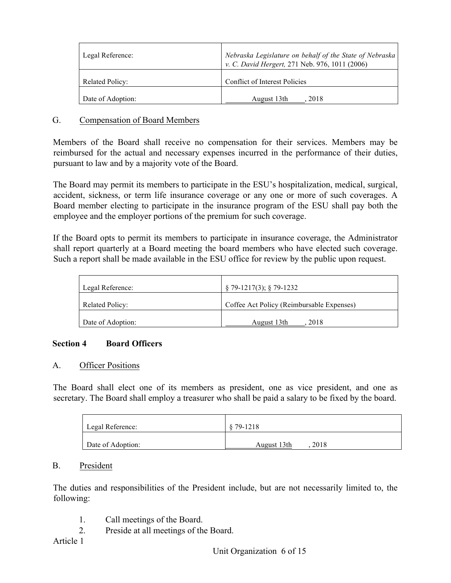| Legal Reference:  | Nebraska Legislature on behalf of the State of Nebraska<br>v. C. David Hergert, 271 Neb. 976, 1011 (2006) |
|-------------------|-----------------------------------------------------------------------------------------------------------|
| Related Policy:   | Conflict of Interest Policies                                                                             |
| Date of Adoption: | August 13th<br>2018                                                                                       |

### G. Compensation of Board Members

Members of the Board shall receive no compensation for their services. Members may be reimbursed for the actual and necessary expenses incurred in the performance of their duties, pursuant to law and by a majority vote of the Board.

The Board may permit its members to participate in the ESU's hospitalization, medical, surgical, accident, sickness, or term life insurance coverage or any one or more of such coverages. A Board member electing to participate in the insurance program of the ESU shall pay both the employee and the employer portions of the premium for such coverage.

If the Board opts to permit its members to participate in insurance coverage, the Administrator shall report quarterly at a Board meeting the board members who have elected such coverage. Such a report shall be made available in the ESU office for review by the public upon request.

| Legal Reference:       | $\S$ 79-1217(3); $\S$ 79-1232             |
|------------------------|-------------------------------------------|
| <b>Related Policy:</b> | Coffee Act Policy (Reimbursable Expenses) |
| Date of Adoption:      | August 13th<br>2018                       |

# **Section 4 Board Officers**

#### A. Officer Positions

The Board shall elect one of its members as president, one as vice president, and one as secretary. The Board shall employ a treasurer who shall be paid a salary to be fixed by the board.

| Legal Reference:  | \$79-1218           |
|-------------------|---------------------|
| Date of Adoption: | 2018<br>August 13th |

# B. President

The duties and responsibilities of the President include, but are not necessarily limited to, the following:

- 1. Call meetings of the Board.
- 2. Preside at all meetings of the Board.

# Article 1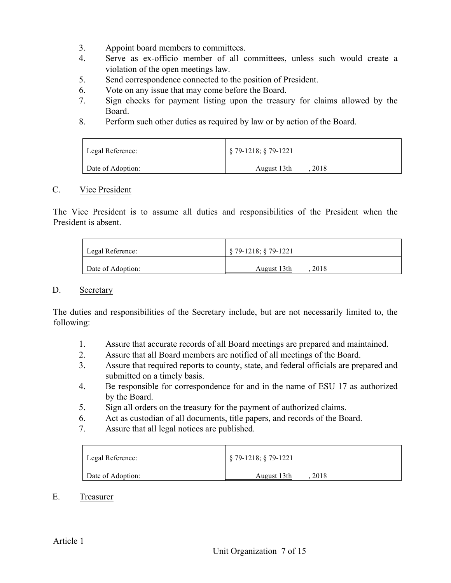- 3. Appoint board members to committees.
- 4. Serve as ex-officio member of all committees, unless such would create a violation of the open meetings law.
- 5. Send correspondence connected to the position of President.
- 6. Vote on any issue that may come before the Board.
- 7. Sign checks for payment listing upon the treasury for claims allowed by the Board.
- 8. Perform such other duties as required by law or by action of the Board.

| Legal Reference:  | $\frac{1}{2}$ 79-1218; § 79-1221 |
|-------------------|----------------------------------|
| Date of Adoption: | 2018<br>August 13th              |

### C. Vice President

The Vice President is to assume all duties and responsibilities of the President when the President is absent.

| Legal Reference:  | $\frac{1}{2}$ \$ 79-1218; § 79-1221 |
|-------------------|-------------------------------------|
| Date of Adoption: | 2018<br>August 13th                 |

#### D. Secretary

The duties and responsibilities of the Secretary include, but are not necessarily limited to, the following:

- 1. Assure that accurate records of all Board meetings are prepared and maintained.
- 2. Assure that all Board members are notified of all meetings of the Board.
- 3. Assure that required reports to county, state, and federal officials are prepared and submitted on a timely basis.
- 4. Be responsible for correspondence for and in the name of ESU 17 as authorized by the Board.
- 5. Sign all orders on the treasury for the payment of authorized claims.
- 6. Act as custodian of all documents, title papers, and records of the Board.
- 7. Assure that all legal notices are published.

| Legal Reference:  | $\S$ 79-1218; $\S$ 79-1221 |
|-------------------|----------------------------|
| Date of Adoption: | 2018<br>August 13th        |

E. Treasurer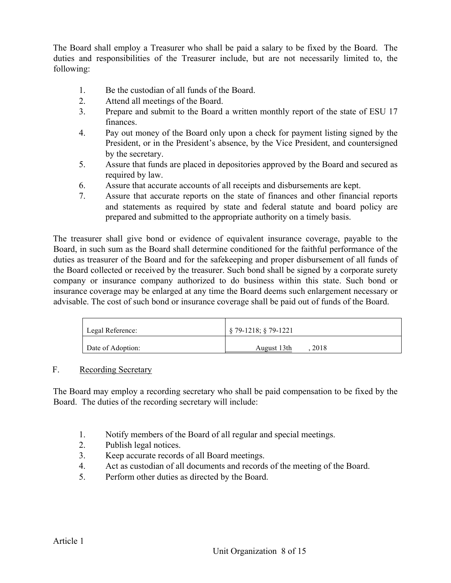The Board shall employ a Treasurer who shall be paid a salary to be fixed by the Board. The duties and responsibilities of the Treasurer include, but are not necessarily limited to, the following:

- 1. Be the custodian of all funds of the Board.
- 2. Attend all meetings of the Board.
- 3. Prepare and submit to the Board a written monthly report of the state of ESU 17 finances.
- 4. Pay out money of the Board only upon a check for payment listing signed by the President, or in the President's absence, by the Vice President, and countersigned by the secretary.
- 5. Assure that funds are placed in depositories approved by the Board and secured as required by law.
- 6. Assure that accurate accounts of all receipts and disbursements are kept.
- 7. Assure that accurate reports on the state of finances and other financial reports and statements as required by state and federal statute and board policy are prepared and submitted to the appropriate authority on a timely basis.

The treasurer shall give bond or evidence of equivalent insurance coverage, payable to the Board, in such sum as the Board shall determine conditioned for the faithful performance of the duties as treasurer of the Board and for the safekeeping and proper disbursement of all funds of the Board collected or received by the treasurer. Such bond shall be signed by a corporate surety company or insurance company authorized to do business within this state. Such bond or insurance coverage may be enlarged at any time the Board deems such enlargement necessary or advisable. The cost of such bond or insurance coverage shall be paid out of funds of the Board.

| Legal Reference:  | $\S$ 79-1218; $\S$ 79-1221 |
|-------------------|----------------------------|
| Date of Adoption: | 2018<br>August 13th        |

# F. Recording Secretary

The Board may employ a recording secretary who shall be paid compensation to be fixed by the Board. The duties of the recording secretary will include:

- 1. Notify members of the Board of all regular and special meetings.
- 2. Publish legal notices.
- 3. Keep accurate records of all Board meetings.
- 4. Act as custodian of all documents and records of the meeting of the Board.
- 5. Perform other duties as directed by the Board.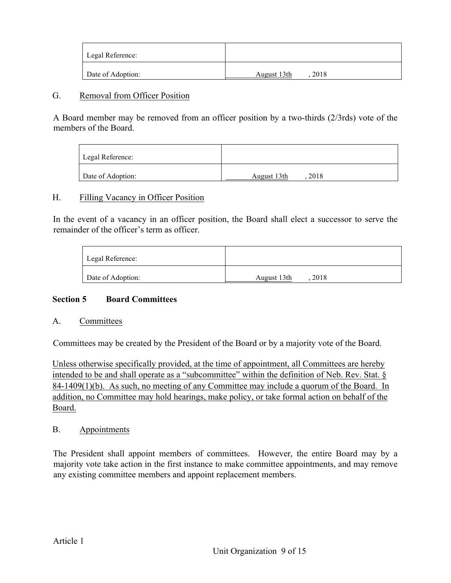| Legal Reference:  |                     |
|-------------------|---------------------|
| Date of Adoption: | 2018<br>August 13th |

#### G. Removal from Officer Position

A Board member may be removed from an officer position by a two-thirds (2/3rds) vote of the members of the Board.

| Legal Reference:  |                     |
|-------------------|---------------------|
| Date of Adoption: | 2018<br>August 13th |

#### H. Filling Vacancy in Officer Position

In the event of a vacancy in an officer position, the Board shall elect a successor to serve the remainder of the officer's term as officer.

| Legal Reference:  |                     |
|-------------------|---------------------|
| Date of Adoption: | 2018<br>August 13th |

# **Section 5 Board Committees**

#### A. Committees

Committees may be created by the President of the Board or by a majority vote of the Board.

Unless otherwise specifically provided, at the time of appointment, all Committees are hereby intended to be and shall operate as a "subcommittee" within the definition of Neb. Rev. Stat. § 84-1409(1)(b). As such, no meeting of any Committee may include a quorum of the Board. In addition, no Committee may hold hearings, make policy, or take formal action on behalf of the Board.

# B. Appointments

The President shall appoint members of committees. However, the entire Board may by a majority vote take action in the first instance to make committee appointments, and may remove any existing committee members and appoint replacement members.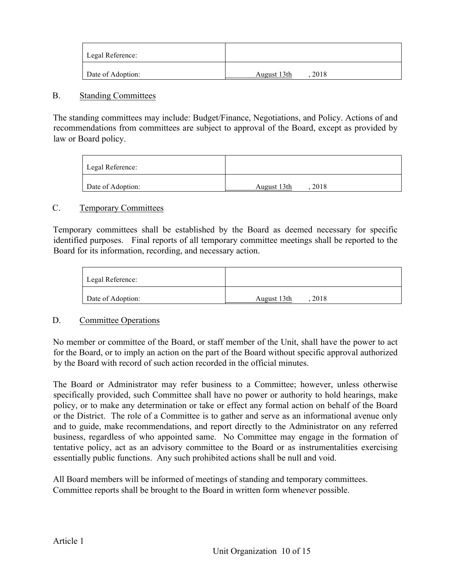| Legal Reference:  |                     |
|-------------------|---------------------|
| Date of Adoption: | 2018<br>August 13th |

#### B. Standing Committees

The standing committees may include: Budget/Finance, Negotiations, and Policy. Actions of and recommendations from committees are subject to approval of the Board, except as provided by law or Board policy.

| Legal Reference:  |                     |
|-------------------|---------------------|
| Date of Adoption: | 2018<br>August 13th |

# C. Temporary Committees

Temporary committees shall be established by the Board as deemed necessary for specific identified purposes. Final reports of all temporary committee meetings shall be reported to the Board for its information, recording, and necessary action.

| Legal Reference:  |                     |
|-------------------|---------------------|
| Date of Adoption: | 2018<br>August 13th |

# D. Committee Operations

No member or committee of the Board, or staff member of the Unit, shall have the power to act for the Board, or to imply an action on the part of the Board without specific approval authorized by the Board with record of such action recorded in the official minutes.

The Board or Administrator may refer business to a Committee; however, unless otherwise specifically provided, such Committee shall have no power or authority to hold hearings, make policy, or to make any determination or take or effect any formal action on behalf of the Board or the District. The role of a Committee is to gather and serve as an informational avenue only and to guide, make recommendations, and report directly to the Administrator on any referred business, regardless of who appointed same. No Committee may engage in the formation of tentative policy, act as an advisory committee to the Board or as instrumentalities exercising essentially public functions. Any such prohibited actions shall be null and void.

All Board members will be informed of meetings of standing and temporary committees. Committee reports shall be brought to the Board in written form whenever possible.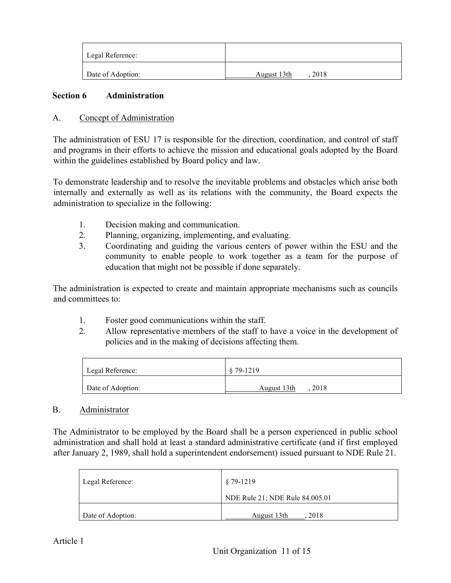| Legal Reference:  |                     |
|-------------------|---------------------|
| Date of Adoption: | August 13th<br>2018 |

### **Section 6 Administration**

### A. Concept of Administration

The administration of ESU 17 is responsible for the direction, coordination, and control of staff and programs in their efforts to achieve the mission and educational goals adopted by the Board within the guidelines established by Board policy and law.

To demonstrate leadership and to resolve the inevitable problems and obstacles which arise both internally and externally as well as its relations with the community, the Board expects the administration to specialize in the following:

- 1. Decision making and communication.
- 2. Planning, organizing, implementing, and evaluating.
- 3. Coordinating and guiding the various centers of power within the ESU and the community to enable people to work together as a team for the purpose of education that might not be possible if done separately.

The administration is expected to create and maintain appropriate mechanisms such as councils and committees to:

- 1. Foster good communications within the staff.
- 2. Allow representative members of the staff to have a voice in the development of policies and in the making of decisions affecting them.

| Legal Reference:  | $§ 79-1219$         |
|-------------------|---------------------|
| Date of Adoption: | 2018<br>August 13th |

#### B. Administrator

The Administrator to be employed by the Board shall be a person experienced in public school administration and shall hold at least a standard administrative certificate (and if first employed after January 2, 1989, shall hold a superintendent endorsement) issued pursuant to NDE Rule 21.

| Legal Reference:  | $§ 79-1219$                     |
|-------------------|---------------------------------|
|                   | NDE Rule 21; NDE Rule 84.005.01 |
| Date of Adoption: | August 13th<br>2018             |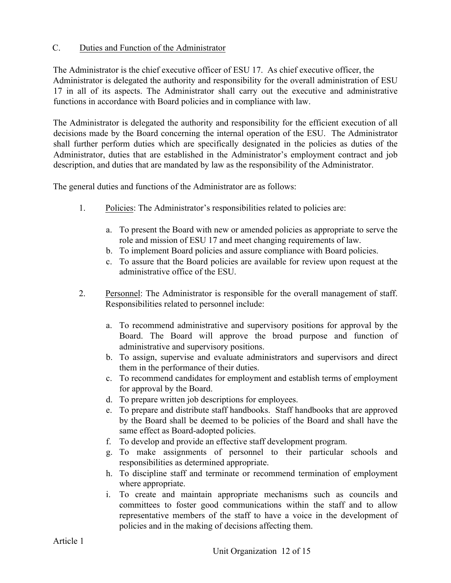# C. Duties and Function of the Administrator

The Administrator is the chief executive officer of ESU 17. As chief executive officer, the Administrator is delegated the authority and responsibility for the overall administration of ESU 17 in all of its aspects. The Administrator shall carry out the executive and administrative functions in accordance with Board policies and in compliance with law.

The Administrator is delegated the authority and responsibility for the efficient execution of all decisions made by the Board concerning the internal operation of the ESU. The Administrator shall further perform duties which are specifically designated in the policies as duties of the Administrator, duties that are established in the Administrator's employment contract and job description, and duties that are mandated by law as the responsibility of the Administrator.

The general duties and functions of the Administrator are as follows:

- 1. Policies: The Administrator's responsibilities related to policies are:
	- a. To present the Board with new or amended policies as appropriate to serve the role and mission of ESU 17 and meet changing requirements of law.
	- b. To implement Board policies and assure compliance with Board policies.
	- c. To assure that the Board policies are available for review upon request at the administrative office of the ESU.
- 2. Personnel: The Administrator is responsible for the overall management of staff. Responsibilities related to personnel include:
	- a. To recommend administrative and supervisory positions for approval by the Board. The Board will approve the broad purpose and function of administrative and supervisory positions.
	- b. To assign, supervise and evaluate administrators and supervisors and direct them in the performance of their duties.
	- c. To recommend candidates for employment and establish terms of employment for approval by the Board.
	- d. To prepare written job descriptions for employees.
	- e. To prepare and distribute staff handbooks. Staff handbooks that are approved by the Board shall be deemed to be policies of the Board and shall have the same effect as Board-adopted policies.
	- f. To develop and provide an effective staff development program.
	- g. To make assignments of personnel to their particular schools and responsibilities as determined appropriate.
	- h. To discipline staff and terminate or recommend termination of employment where appropriate.
	- i. To create and maintain appropriate mechanisms such as councils and committees to foster good communications within the staff and to allow representative members of the staff to have a voice in the development of policies and in the making of decisions affecting them.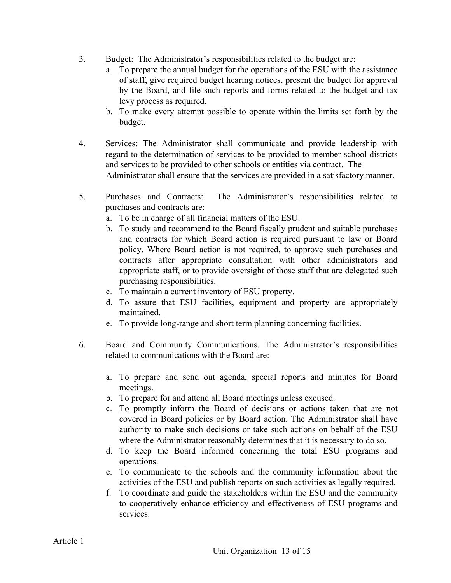- 3. Budget: The Administrator's responsibilities related to the budget are:
	- a. To prepare the annual budget for the operations of the ESU with the assistance of staff, give required budget hearing notices, present the budget for approval by the Board, and file such reports and forms related to the budget and tax levy process as required.
	- b. To make every attempt possible to operate within the limits set forth by the budget.
- 4. Services: The Administrator shall communicate and provide leadership with regard to the determination of services to be provided to member school districts and services to be provided to other schools or entities via contract. The Administrator shall ensure that the services are provided in a satisfactory manner.
- 5. Purchases and Contracts: The Administrator's responsibilities related to purchases and contracts are:
	- a. To be in charge of all financial matters of the ESU.
	- b. To study and recommend to the Board fiscally prudent and suitable purchases and contracts for which Board action is required pursuant to law or Board policy. Where Board action is not required, to approve such purchases and contracts after appropriate consultation with other administrators and appropriate staff, or to provide oversight of those staff that are delegated such purchasing responsibilities.
	- c. To maintain a current inventory of ESU property.
	- d. To assure that ESU facilities, equipment and property are appropriately maintained.
	- e. To provide long-range and short term planning concerning facilities.
- 6. Board and Community Communications. The Administrator's responsibilities related to communications with the Board are:
	- a. To prepare and send out agenda, special reports and minutes for Board meetings.
	- b. To prepare for and attend all Board meetings unless excused.
	- c. To promptly inform the Board of decisions or actions taken that are not covered in Board policies or by Board action. The Administrator shall have authority to make such decisions or take such actions on behalf of the ESU where the Administrator reasonably determines that it is necessary to do so.
	- d. To keep the Board informed concerning the total ESU programs and operations.
	- e. To communicate to the schools and the community information about the activities of the ESU and publish reports on such activities as legally required.
	- f. To coordinate and guide the stakeholders within the ESU and the community to cooperatively enhance efficiency and effectiveness of ESU programs and services.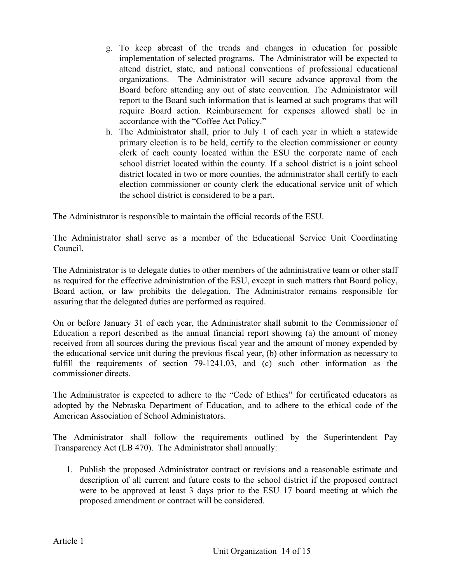- g. To keep abreast of the trends and changes in education for possible implementation of selected programs. The Administrator will be expected to attend district, state, and national conventions of professional educational organizations. The Administrator will secure advance approval from the Board before attending any out of state convention. The Administrator will report to the Board such information that is learned at such programs that will require Board action. Reimbursement for expenses allowed shall be in accordance with the "Coffee Act Policy."
- h. The Administrator shall, prior to July 1 of each year in which a statewide primary election is to be held, certify to the election commissioner or county clerk of each county located within the ESU the corporate name of each school district located within the county. If a school district is a joint school district located in two or more counties, the administrator shall certify to each election commissioner or county clerk the educational service unit of which the school district is considered to be a part.

The Administrator is responsible to maintain the official records of the ESU.

The Administrator shall serve as a member of the Educational Service Unit Coordinating Council.

The Administrator is to delegate duties to other members of the administrative team or other staff as required for the effective administration of the ESU, except in such matters that Board policy, Board action, or law prohibits the delegation. The Administrator remains responsible for assuring that the delegated duties are performed as required.

On or before January 31 of each year, the Administrator shall submit to the Commissioner of Education a report described as the annual financial report showing (a) the amount of money received from all sources during the previous fiscal year and the amount of money expended by the educational service unit during the previous fiscal year, (b) other information as necessary to fulfill the requirements of section 79-1241.03, and (c) such other information as the commissioner directs.

The Administrator is expected to adhere to the "Code of Ethics" for certificated educators as adopted by the Nebraska Department of Education, and to adhere to the ethical code of the American Association of School Administrators.

The Administrator shall follow the requirements outlined by the Superintendent Pay Transparency Act (LB 470). The Administrator shall annually:

1. Publish the proposed Administrator contract or revisions and a reasonable estimate and description of all current and future costs to the school district if the proposed contract were to be approved at least 3 days prior to the ESU 17 board meeting at which the proposed amendment or contract will be considered.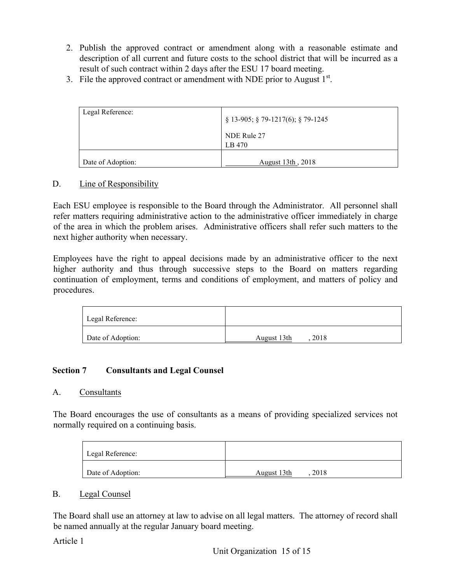- 2. Publish the approved contract or amendment along with a reasonable estimate and description of all current and future costs to the school district that will be incurred as a result of such contract within 2 days after the ESU 17 board meeting.
- 3. File the approved contract or amendment with NDE prior to August  $1<sup>st</sup>$ .

| Legal Reference:  | $\S$ 13-905; $\S$ 79-1217(6); $\S$ 79-1245<br>NDE Rule 27<br>LB 470 |
|-------------------|---------------------------------------------------------------------|
| Date of Adoption: | August 13th, 2018                                                   |

# D. Line of Responsibility

Each ESU employee is responsible to the Board through the Administrator. All personnel shall refer matters requiring administrative action to the administrative officer immediately in charge of the area in which the problem arises. Administrative officers shall refer such matters to the next higher authority when necessary.

Employees have the right to appeal decisions made by an administrative officer to the next higher authority and thus through successive steps to the Board on matters regarding continuation of employment, terms and conditions of employment, and matters of policy and procedures.

| Legal Reference:  |                     |
|-------------------|---------------------|
| Date of Adoption: | 2018<br>August 13th |

# **Section 7 Consultants and Legal Counsel**

# A. Consultants

The Board encourages the use of consultants as a means of providing specialized services not normally required on a continuing basis.

| Legal Reference:  |                     |
|-------------------|---------------------|
| Date of Adoption: | 2018<br>August 13th |

# B. Legal Counsel

The Board shall use an attorney at law to advise on all legal matters. The attorney of record shall be named annually at the regular January board meeting.

Article 1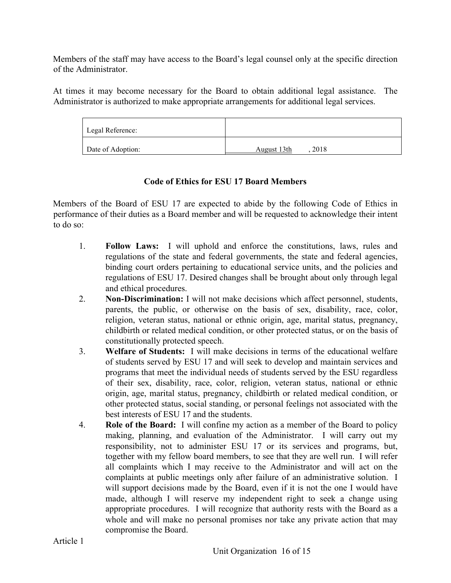Members of the staff may have access to the Board's legal counsel only at the specific direction of the Administrator.

At times it may become necessary for the Board to obtain additional legal assistance. The Administrator is authorized to make appropriate arrangements for additional legal services.

| Legal Reference:  |                     |
|-------------------|---------------------|
| Date of Adoption: | 2018<br>August 13th |

# **Code of Ethics for ESU 17 Board Members**

Members of the Board of ESU 17 are expected to abide by the following Code of Ethics in performance of their duties as a Board member and will be requested to acknowledge their intent to do so:

- 1. **Follow Laws:** I will uphold and enforce the constitutions, laws, rules and regulations of the state and federal governments, the state and federal agencies, binding court orders pertaining to educational service units, and the policies and regulations of ESU 17. Desired changes shall be brought about only through legal and ethical procedures.
- 2. **Non-Discrimination:** I will not make decisions which affect personnel, students, parents, the public, or otherwise on the basis of sex, disability, race, color, religion, veteran status, national or ethnic origin, age, marital status, pregnancy, childbirth or related medical condition, or other protected status, or on the basis of constitutionally protected speech.
- 3. **Welfare of Students:** I will make decisions in terms of the educational welfare of students served by ESU 17 and will seek to develop and maintain services and programs that meet the individual needs of students served by the ESU regardless of their sex, disability, race, color, religion, veteran status, national or ethnic origin, age, marital status, pregnancy, childbirth or related medical condition, or other protected status, social standing, or personal feelings not associated with the best interests of ESU 17 and the students.
- 4. **Role of the Board:** I will confine my action as a member of the Board to policy making, planning, and evaluation of the Administrator. I will carry out my responsibility, not to administer ESU 17 or its services and programs, but, together with my fellow board members, to see that they are well run. I will refer all complaints which I may receive to the Administrator and will act on the complaints at public meetings only after failure of an administrative solution. I will support decisions made by the Board, even if it is not the one I would have made, although I will reserve my independent right to seek a change using appropriate procedures. I will recognize that authority rests with the Board as a whole and will make no personal promises nor take any private action that may compromise the Board.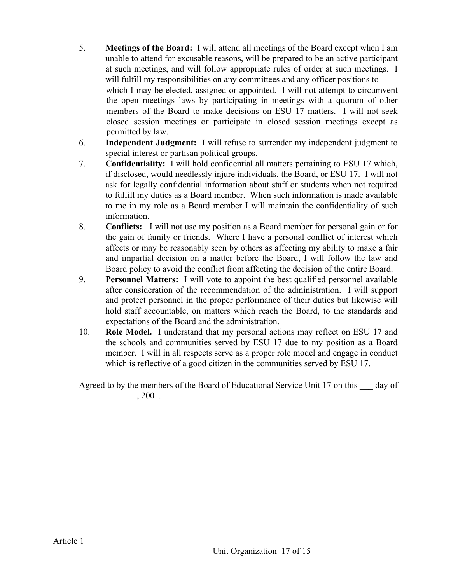- 5. **Meetings of the Board:** I will attend all meetings of the Board except when I am unable to attend for excusable reasons, will be prepared to be an active participant at such meetings, and will follow appropriate rules of order at such meetings. I will fulfill my responsibilities on any committees and any officer positions to which I may be elected, assigned or appointed. I will not attempt to circumvent the open meetings laws by participating in meetings with a quorum of other members of the Board to make decisions on ESU 17 matters. I will not seek closed session meetings or participate in closed session meetings except as permitted by law.
- 6. **Independent Judgment:** I will refuse to surrender my independent judgment to special interest or partisan political groups.
- 7. **Confidentiality:** I will hold confidential all matters pertaining to ESU 17 which, if disclosed, would needlessly injure individuals, the Board, or ESU 17. I will not ask for legally confidential information about staff or students when not required to fulfill my duties as a Board member. When such information is made available to me in my role as a Board member I will maintain the confidentiality of such information.
- 8. **Conflicts:** I will not use my position as a Board member for personal gain or for the gain of family or friends. Where I have a personal conflict of interest which affects or may be reasonably seen by others as affecting my ability to make a fair and impartial decision on a matter before the Board, I will follow the law and Board policy to avoid the conflict from affecting the decision of the entire Board.
- 9. **Personnel Matters:** I will vote to appoint the best qualified personnel available after consideration of the recommendation of the administration. I will support and protect personnel in the proper performance of their duties but likewise will hold staff accountable, on matters which reach the Board, to the standards and expectations of the Board and the administration.
- 10. **Role Model.** I understand that my personal actions may reflect on ESU 17 and the schools and communities served by ESU 17 due to my position as a Board member. I will in all respects serve as a proper role model and engage in conduct which is reflective of a good citizen in the communities served by ESU 17.

Agreed to by the members of the Board of Educational Service Unit 17 on this day of  $, 200$ .